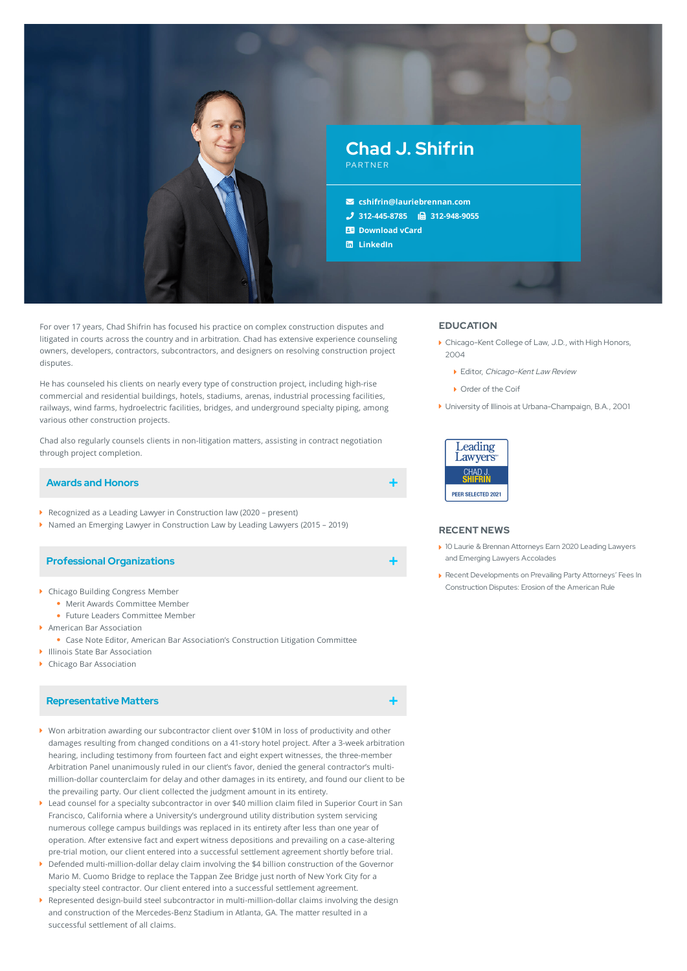

For over 17 years, Chad Shifrin has focused his practice on complex construction disputes and litigated in courts across the country and in arbitration. Chad has extensive experience counseling owners, developers, contractors, subcontractors, and designers on resolving construction project disputes.

He has counseled his clients on nearly every type of construction project, including high-rise commercial and residential buildings, hotels, stadiums, arenas, industrial processing facilities, railways, wind farms, hydroelectric facilities, bridges, and underground specialty piping, among various other construction projects.

Chad also regularly counsels clients in non-litigation matters, assisting in contract negotiation through project completion.

## **Awards and Honors**

- Recognized as a Leading Lawyer in Construction law (2020 present)
- ▶ Named an Emerging Lawyer in Construction Law by Leading Lawyers (2015 2019)

## **Professional Organizations**

- Chicago Building Congress Member
	- Merit Awards Committee Member
	- Future Leaders Committee Member
- American Bar Association
	- Case Note Editor, American Bar Association's Construction Litigation Committee
- Illinois State Bar Association
- ▶ Chicago Bar Association

# **Representative Matters**

- Won arbitration awarding our subcontractor client over \$10M in loss of productivity and other damages resulting from changed conditions on a 41-story hotel project. After a 3-week arbitration hearing, including testimony from fourteen fact and eight expert witnesses, the three-member Arbitration Panel unanimously ruled in our client's favor, denied the general contractor's multi million-dollar counterclaim for delay and other damages in its entirety, and found our client to be the prevailing party. Our client collected the judgment amount in its entirety.
- Lead counsel for a specialty subcontractor in over \$40 million claim filed in Superior Court in San Francisco, California where a University's underground utility distribution system servicing numerous college campus buildings was replaced in its entirety after less than one year of operation. After extensive fact and expert witness depositions and prevailing on a case-altering pre-trial motion, our client entered into a successful settlement agreement shortly before trial.
- Defended multi-million-dollar delay claim involving the \$4 billion construction of the Governor Mario M. Cuomo Bridge to replace the Tappan Zee Bridge just north of New York City for a specialty steel contractor. Our client entered into a successful settlement agreement.
- Represented design-build steel subcontractor in multi-million-dollar claims involving the design and construction of the Mercedes-Benz Stadium in Atlanta, GA. The matter resulted in a successful settlement of all claims. ¥.

## **EDUCATION**

- Chicago-Kent College of Law, J.D., with High Honors, 2004
	- ▶ Editor, Chicago-Kent Law Review
	- Order of the Coif
- University of Illinois at Urbana-Champaign, B.A., 2001



### **RECENT NEWS**

- 10 Laurie & Brennan Attorneys Earn 2020 Leading Lawyers and Emerging Lawyers [Accolades](https://www.lauriebrennan.com/blog/ten-laurie-brennan-attorneys-earn-2020-leading-lawyers-and-emerging-lawyers-accolades/)
- Recent [Developments](https://www.lauriebrennan.com/blog/recent-developments-on-prevailing-party-attorneys-fees-in-construction-disputes-erosion-of-the-american-rule/) on Prevailing Party Attorneys' Fees In Construction Disputes: Erosion of the American Rule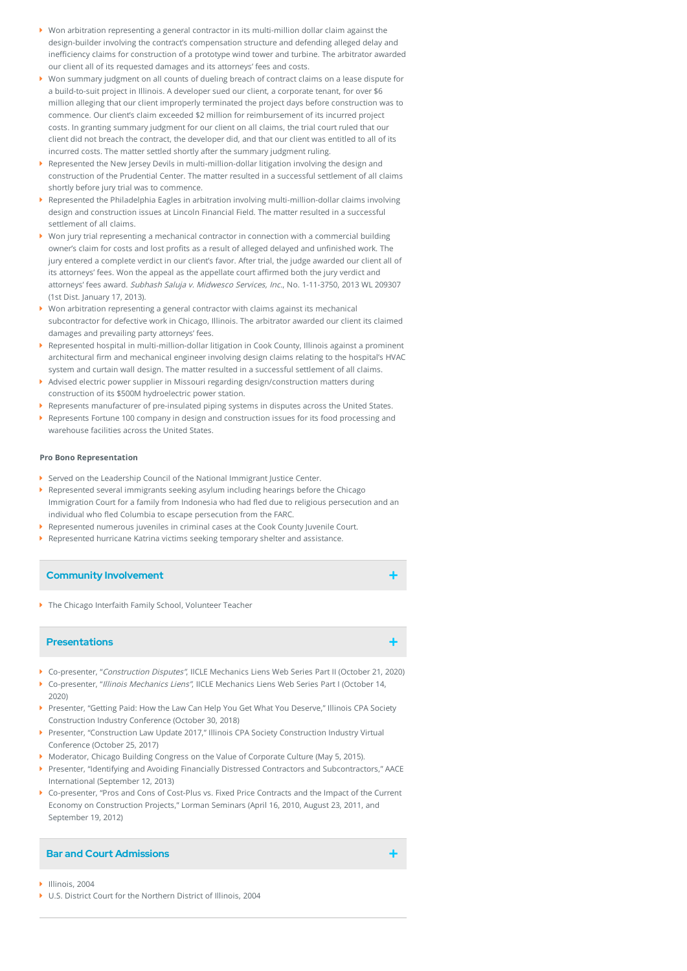- Won arbitration representing a general contractor in its multi-million dollar claim against the design-builder involving the contract's compensation structure and defending alleged delay and inefficiency claims for construction of a prototype wind tower and turbine. The arbitrator awarded our client all of its requested damages and its attorneys' fees and costs.
- Won summary judgment on all counts of dueling breach of contract claims on a lease dispute for a build-to-suit project in Illinois. A developer sued our client, a corporate tenant, for over \$6 million alleging that our client improperly terminated the project days before construction was to commence. Our client's claim exceeded \$2 million for reimbursement of its incurred project costs. In granting summary judgment for our client on all claims, the trial court ruled that our client did not breach the contract, the developer did, and that our client was entitled to all of its incurred costs. The matter settled shortly after the summary judgment ruling.
- Represented the New Jersey Devils in multi-million-dollar litigation involving the design and construction of the Prudential Center. The matter resulted in a successful settlement of all claims shortly before jury trial was to commence.
- Represented the Philadelphia Eagles in arbitration involving multi-million-dollar claims involving design and construction issues at Lincoln Financial Field. The matter resulted in a successful settlement of all claims.
- Won jury trial representing a mechanical contractor in connection with a commercial building owner's claim for costs and lost profits as a result of alleged delayed and unfinished work. The jury entered a complete verdict in our client's favor. After trial, the judge awarded our client all of its attorneys' fees. Won the appeal as the appellate court affirmed both the jury verdict and attorneys' fees award. Subhash Saluja v. Midwesco Services, Inc., No. 1-11-3750, 2013 WL 209307 (1st Dist. January 17, 2013).
- $\blacktriangleright$  Won arbitration representing a general contractor with claims against its mechanical subcontractor for defective work in Chicago, Illinois. The arbitrator awarded our client its claimed damages and prevailing party attorneys' fees.
- Represented hospital in multi-million-dollar litigation in Cook County, Illinois against a prominent architectural firm and mechanical engineer involving design claims relating to the hospital's HVAC system and curtain wall design. The matter resulted in a successful settlement of all claims.
- Advised electric power supplier in Missouri regarding design/construction matters during construction of its \$500M hydroelectric power station.
- Represents manufacturer of pre-insulated piping systems in disputes across the United States.
- Represents Fortune 100 company in design and construction issues for its food processing and warehouse facilities across the United States.

### **Pro Bono Representation**

- Served on the Leadership Council of the National Immigrant Justice Center.
- Represented several immigrants seeking asylum including hearings before the Chicago Immigration Court for a family from Indonesia who had fled due to religious persecution and an individual who fled Columbia to escape persecution from the FARC.
- Represented numerous juveniles in criminal cases at the Cook County Juvenile Court.
- Represented hurricane Katrina victims seeking temporary shelter and assistance.

## **Community Involvement**

▶ The Chicago Interfaith Family School, Volunteer Teacher

## **Presentations**

- Co-presenter, "Construction Disputes", IICLE Mechanics Liens Web Series Part II (October 21, 2020)
- Co-presenter, "Illinois Mechanics Liens", IICLE Mechanics Liens Web Series Part I (October 14, 2020)
- Presenter, "Getting Paid: How the Law Can Help You Get What You Deserve," Illinois CPA Society Construction Industry Conference (October 30, 2018)
- Presenter, "Construction Law Update 2017," Illinois CPA Society Construction Industry Virtual Conference (October 25, 2017)
- Moderator, Chicago Building Congress on the Value of Corporate Culture (May 5, 2015).
- Presenter, "Identifying and Avoiding Financially Distressed Contractors and Subcontractors," AACE International (September 12, 2013)
- Co-presenter, "Pros and Cons of Cost-Plus vs. Fixed Price Contracts and the Impact of the Current Economy on Construction Projects," Lorman Seminars (April 16, 2010, August 23, 2011, and September 19, 2012)

# **Bar and Court Admissions**

- Illinois, 2004
- ▶ U.S. District Court for the Northern District of Illinois, 2004